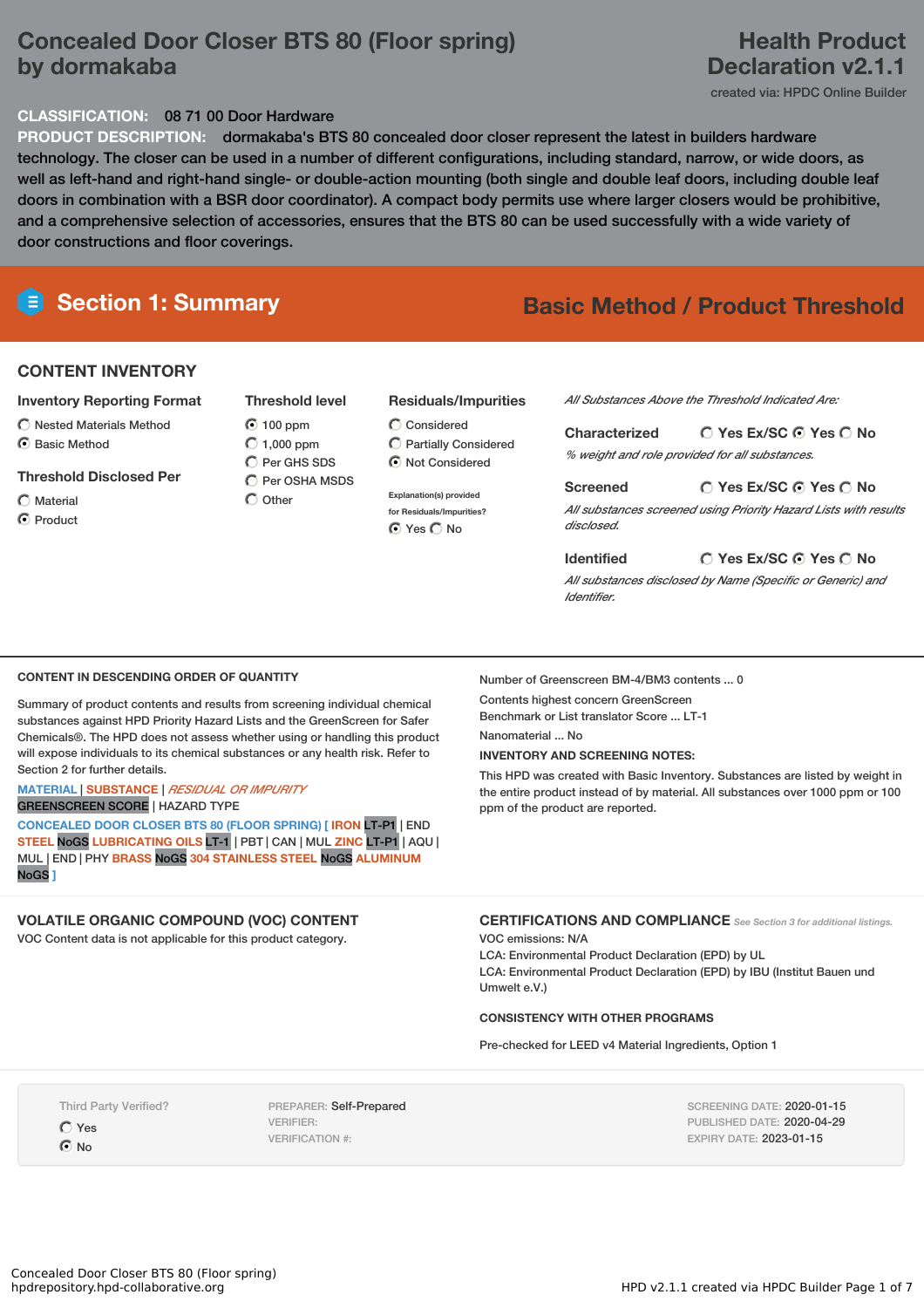# **Concealed Door Closer BTS 80 (Floor spring) by dormakaba**

# **Health Product Declaration v2.1.1**

created via: HPDC Online Builder

## **CLASSIFICATION:** 08 71 00 Door Hardware

**PRODUCT DESCRIPTION:** dormakaba's BTS 80 concealed door closer represent the latest in builders hardware technology. The closer can be used in a number of different configurations, including standard, narrow, or wide doors, as well as left-hand and right-hand single- or double-action mounting (both single and double leaf doors, including double leaf doors in combination with a BSR door coordinator). A compact body permits use where larger closers would be prohibitive, and a comprehensive selection of accessories, ensures that the BTS 80 can be used successfully with a wide variety of door constructions and floor coverings.

# **Section 1: Summary Basic Method / Product Threshold**

# **CONTENT INVENTORY**

## **Inventory Reporting Format**

 $\bigcirc$  Nested Materials Method C Basic Method

### **Threshold Disclosed Per**

 $\bigcap$  Material **⊙** Product

100 ppm  $\bigcirc$  1,000 ppm  $\bigcirc$  Per GHS SDS  $\bigcirc$  Per OSHA MSDS

 $\bigcap$  Other

**Threshold level**

### **Residuals/Impurities**

- Considered  $\bigcirc$  Partially Considered Not Considered
- **Explanation(s) provided for Residuals/Impurities?** ⊙ Yes O No

*All Substances Above the Threshold Indicated Are:*

**Yes Ex/SC Yes No Characterized** *% weight and role provided for all substances.*

**Yes Ex/SC Yes No Screened** *All substances screened using Priority Hazard Lists with results disclosed.*

**Yes Ex/SC Yes No** *All substances disclosed by Name (Specific or Generic) and Identifier.*

### **CONTENT IN DESCENDING ORDER OF QUANTITY**

Summary of product contents and results from screening individual chemical substances against HPD Priority Hazard Lists and the GreenScreen for Safer Chemicals®. The HPD does not assess whether using or handling this product will expose individuals to its chemical substances or any health risk. Refer to Section 2 for further details.

#### **MATERIAL** | **SUBSTANCE** | *RESIDUAL OR IMPURITY* GREENSCREEN SCORE | HAZARD TYPE

**CONCEALED DOOR CLOSER BTS 80 (FLOOR SPRING) [ IRON** LT-P1 | END **STEEL** NoGS **LUBRICATING OILS** LT-1 | PBT | CAN | MUL **ZINC** LT-P1 | AQU | MUL | END | PHY **BRASS** NoGS **304 STAINLESS STEEL** NoGS **ALUMINUM** NoGS **]**

## **VOLATILE ORGANIC COMPOUND (VOC) CONTENT**

VOC Content data is not applicable for this product category.

Number of Greenscreen BM-4/BM3 contents ... 0

Contents highest concern GreenScreen Benchmark or List translator Score ... LT-1

**Identified**

Nanomaterial ... No

## **INVENTORY AND SCREENING NOTES:**

This HPD was created with Basic Inventory. Substances are listed by weight in the entire product instead of by material. All substances over 1000 ppm or 100 ppm of the product are reported.

**CERTIFICATIONS AND COMPLIANCE** *See Section <sup>3</sup> for additional listings.*

VOC emissions: N/A

LCA: Environmental Product Declaration (EPD) by UL LCA: Environmental Product Declaration (EPD) by IBU (Institut Bauen und Umwelt e.V.)

### **CONSISTENCY WITH OTHER PROGRAMS**

Pre-checked for LEED v4 Material Ingredients, Option 1

Third Party Verified?

Yes  $\odot$  No

PREPARER: Self-Prepared VERIFIER: VERIFICATION #:

SCREENING DATE: 2020-01-15 PUBLISHED DATE: 2020-04-29 EXPIRY DATE: 2023-01-15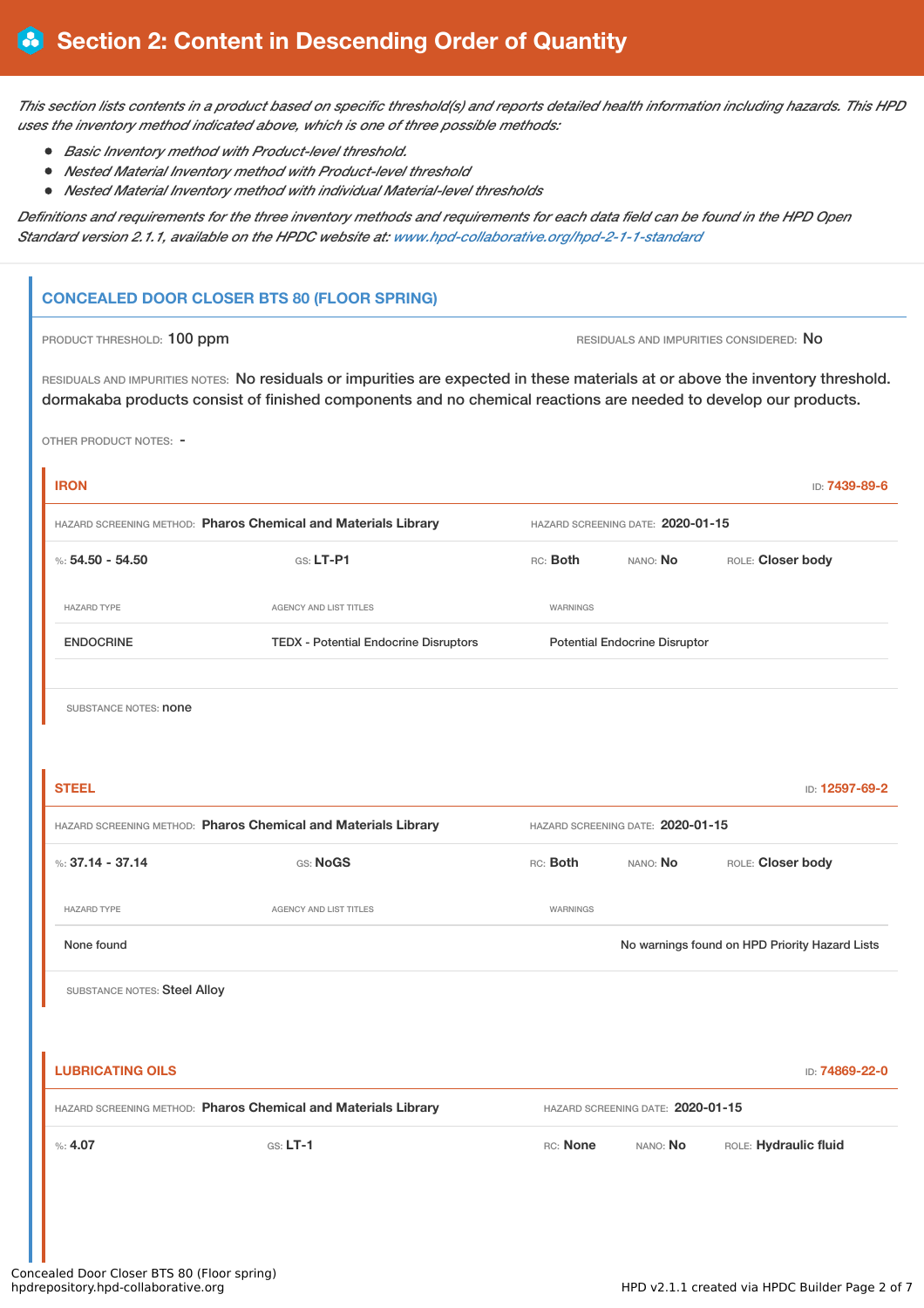This section lists contents in a product based on specific threshold(s) and reports detailed health information including hazards. This HPD *uses the inventory method indicated above, which is one of three possible methods:*

- *Basic Inventory method with Product-level threshold.*
- *Nested Material Inventory method with Product-level threshold*
- *Nested Material Inventory method with individual Material-level thresholds*

Definitions and requirements for the three inventory methods and requirements for each data field can be found in the HPD Open *Standard version 2.1.1, available on the HPDC website at: [www.hpd-collaborative.org/hpd-2-1-1-standard](https://www.hpd-collaborative.org/hpd-2-1-1-standard)*

# **CONCEALED DOOR CLOSER BTS 80 (FLOOR SPRING)**

PRODUCT THRESHOLD: 100 ppm **RESIDUALS AND IMPURITIES CONSIDERED:** No

RESIDUALS AND IMPURITIES NOTES: No residuals or impurities are expected in these materials at or above the inventory threshold. dormakaba products consist of finished components and no chemical reactions are needed to develop our products.

OTHER PRODUCT NOTES: -

| <b>IRON</b>                                                    |                                              |                                                |          | ID: 7439-89-6         |  |
|----------------------------------------------------------------|----------------------------------------------|------------------------------------------------|----------|-----------------------|--|
| HAZARD SCREENING METHOD: Pharos Chemical and Materials Library |                                              | HAZARD SCREENING DATE: 2020-01-15              |          |                       |  |
| %: $54.50 - 54.50$                                             | $Gs: LT-P1$                                  | RC: Both                                       | NANO: No | ROLE: Closer body     |  |
| HAZARD TYPE                                                    | AGENCY AND LIST TITLES                       | WARNINGS                                       |          |                       |  |
| <b>ENDOCRINE</b>                                               | <b>TEDX - Potential Endocrine Disruptors</b> | <b>Potential Endocrine Disruptor</b>           |          |                       |  |
| SUBSTANCE NOTES: <b>none</b>                                   |                                              |                                                |          |                       |  |
| <b>STEEL</b>                                                   |                                              |                                                |          | ID: 12597-69-2        |  |
| HAZARD SCREENING METHOD: Pharos Chemical and Materials Library |                                              | HAZARD SCREENING DATE: 2020-01-15              |          |                       |  |
| %: $37.14 - 37.14$                                             | GS: NoGS                                     | RC: Both                                       | NANO: No | ROLE: Closer body     |  |
| <b>HAZARD TYPE</b>                                             | <b>AGENCY AND LIST TITLES</b>                | WARNINGS                                       |          |                       |  |
| None found                                                     |                                              | No warnings found on HPD Priority Hazard Lists |          |                       |  |
| SUBSTANCE NOTES: Steel Alloy                                   |                                              |                                                |          |                       |  |
|                                                                |                                              |                                                |          |                       |  |
| <b>LUBRICATING OILS</b>                                        |                                              |                                                |          | ID: 74869-22-0        |  |
| HAZARD SCREENING METHOD: Pharos Chemical and Materials Library |                                              | HAZARD SCREENING DATE: 2020-01-15              |          |                       |  |
| %: 4.07                                                        | $G.S. LT-1$                                  | RC: None                                       | NANO: No | ROLE: Hydraulic fluid |  |
|                                                                |                                              |                                                |          |                       |  |
|                                                                |                                              |                                                |          |                       |  |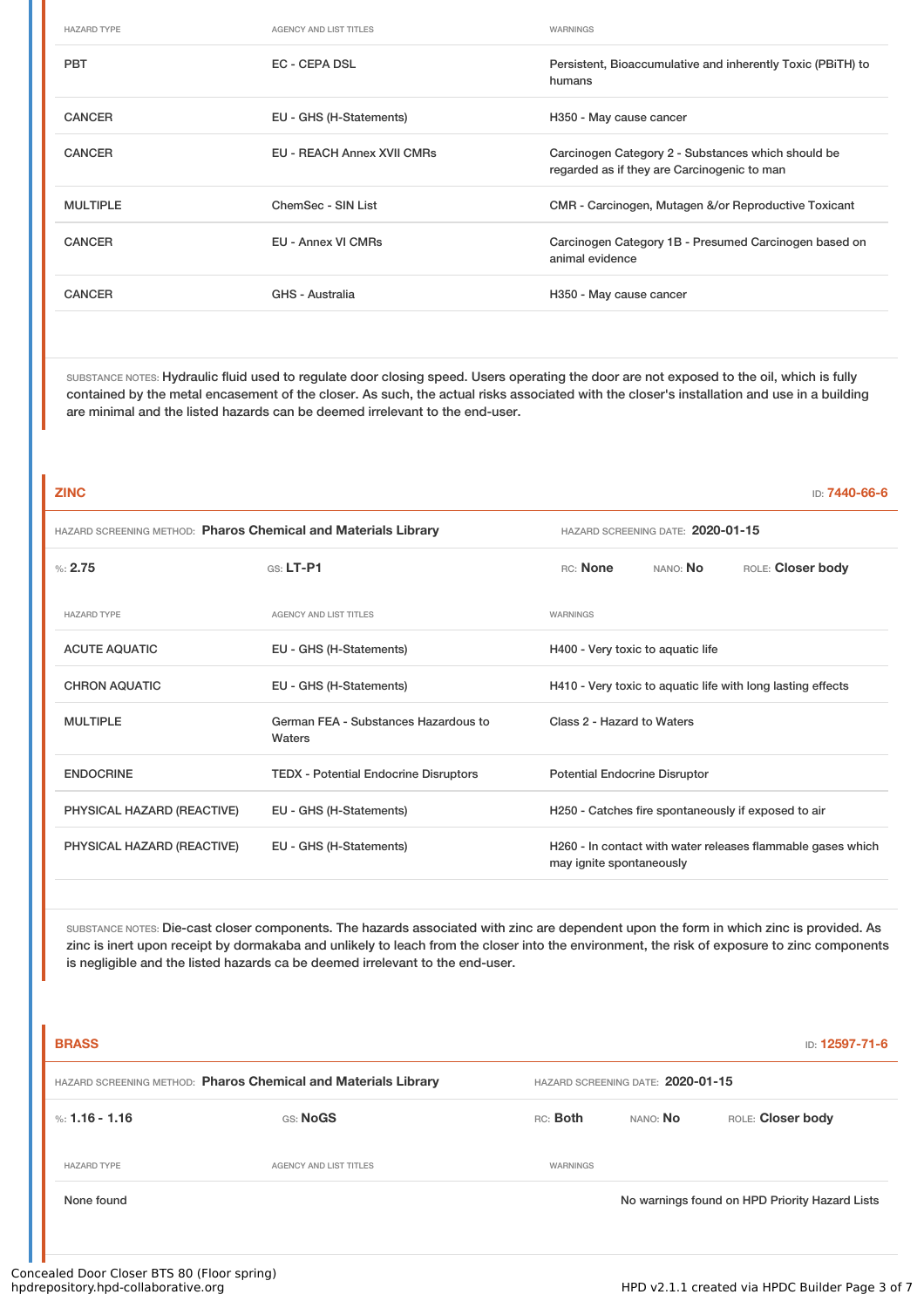| <b>HAZARD TYPE</b> | <b>AGENCY AND LIST TITLES</b>     | WARNINGS                                                                                          |
|--------------------|-----------------------------------|---------------------------------------------------------------------------------------------------|
| <b>PBT</b>         | EC - CEPA DSL                     | Persistent, Bioaccumulative and inherently Toxic (PBITH) to<br>humans                             |
| <b>CANCER</b>      | EU - GHS (H-Statements)           | H350 - May cause cancer                                                                           |
| <b>CANCER</b>      | <b>EU - REACH Annex XVII CMRs</b> | Carcinogen Category 2 - Substances which should be<br>regarded as if they are Carcinogenic to man |
| <b>MULTIPLE</b>    | ChemSec - SIN List                | CMR - Carcinogen, Mutagen &/or Reproductive Toxicant                                              |
| <b>CANCER</b>      | EU - Annex VI CMRs                | Carcinogen Category 1B - Presumed Carcinogen based on<br>animal evidence                          |
| <b>CANCER</b>      | GHS - Australia                   | H350 - May cause cancer                                                                           |

SUBSTANCE NOTES: Hydraulic fluid used to regulate door closing speed. Users operating the door are not exposed to the oil, which is fully contained by the metal encasement of the closer. As such, the actual risks associated with the closer's installation and use in a building are minimal and the listed hazards can be deemed irrelevant to the end-user.

| <b>ZINC</b>                                                    |                                                |                                                                                         |          | ID: 7440-66-6                                       |
|----------------------------------------------------------------|------------------------------------------------|-----------------------------------------------------------------------------------------|----------|-----------------------------------------------------|
| HAZARD SCREENING METHOD: Pharos Chemical and Materials Library |                                                | HAZARD SCREENING DATE: 2020-01-15                                                       |          |                                                     |
| %2.75                                                          | $G.S. LT-P1$                                   | RC: None                                                                                | NANO: No | ROLE: Closer body                                   |
| <b>HAZARD TYPE</b>                                             | <b>AGENCY AND LIST TITLES</b>                  | WARNINGS                                                                                |          |                                                     |
| <b>ACUTE AQUATIC</b>                                           | EU - GHS (H-Statements)                        | H400 - Very toxic to aquatic life                                                       |          |                                                     |
| <b>CHRON AQUATIC</b>                                           | EU - GHS (H-Statements)                        | H410 - Very toxic to aquatic life with long lasting effects                             |          |                                                     |
| <b>MULTIPLE</b>                                                | German FEA - Substances Hazardous to<br>Waters | Class 2 - Hazard to Waters                                                              |          |                                                     |
| <b>ENDOCRINE</b>                                               | <b>TEDX</b> - Potential Endocrine Disruptors   | <b>Potential Endocrine Disruptor</b>                                                    |          |                                                     |
| PHYSICAL HAZARD (REACTIVE)                                     | EU - GHS (H-Statements)                        |                                                                                         |          | H250 - Catches fire spontaneously if exposed to air |
| PHYSICAL HAZARD (REACTIVE)                                     | EU - GHS (H-Statements)                        | H260 - In contact with water releases flammable gases which<br>may ignite spontaneously |          |                                                     |
|                                                                |                                                |                                                                                         |          |                                                     |

SUBSTANCE NOTES: Die-cast closer components. The hazards associated with zinc are dependent upon the form in which zinc is provided. As zinc is inert upon receipt by dormakaba and unlikely to leach from the closer into the environment, the risk of exposure to zinc components is negligible and the listed hazards ca be deemed irrelevant to the end-user.

| <b>BRASS</b><br>ID: 12597-71-6                                 |                               |                                   |                                                |                   |
|----------------------------------------------------------------|-------------------------------|-----------------------------------|------------------------------------------------|-------------------|
| HAZARD SCREENING METHOD: Pharos Chemical and Materials Library |                               | HAZARD SCREENING DATE: 2020-01-15 |                                                |                   |
| %: 1.16 - 1.16                                                 | GS: NoGS                      | RC: Both                          | NANO: No                                       | ROLE: Closer body |
| <b>HAZARD TYPE</b>                                             | <b>AGENCY AND LIST TITLES</b> | WARNINGS                          |                                                |                   |
| None found                                                     |                               |                                   | No warnings found on HPD Priority Hazard Lists |                   |
|                                                                |                               |                                   |                                                |                   |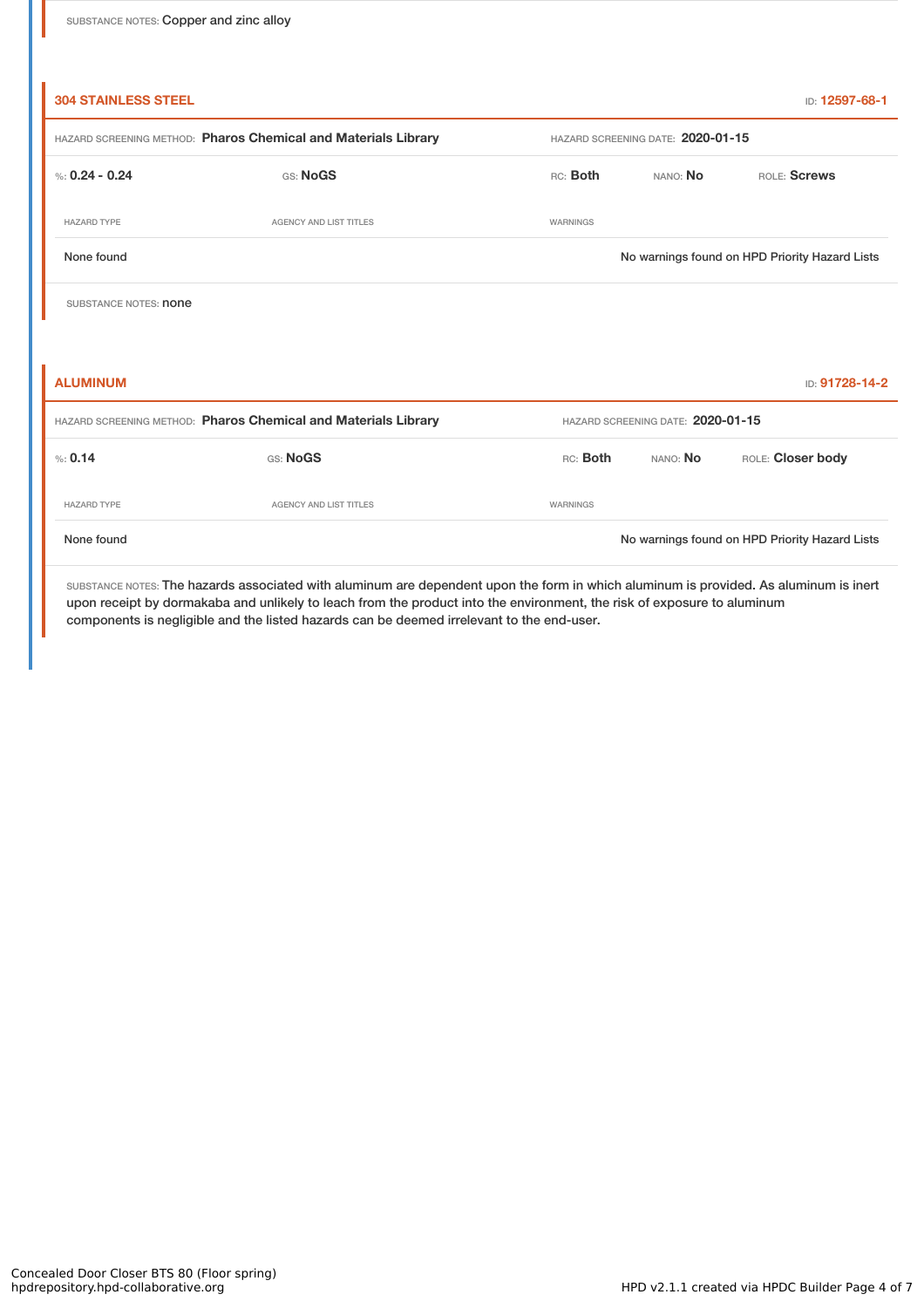| <b>304 STAINLESS STEEL</b>                                     |                               |                                                |                                   | ID: 12597-68-1                                 |  |  |
|----------------------------------------------------------------|-------------------------------|------------------------------------------------|-----------------------------------|------------------------------------------------|--|--|
| HAZARD SCREENING METHOD: Pharos Chemical and Materials Library |                               |                                                | HAZARD SCREENING DATE: 2020-01-15 |                                                |  |  |
| %: $0.24 - 0.24$                                               | GS: NoGS                      | RC: Both                                       | ROLE: Screws<br>NANO: No          |                                                |  |  |
| <b>HAZARD TYPE</b>                                             | <b>AGENCY AND LIST TITLES</b> | WARNINGS                                       |                                   |                                                |  |  |
| None found                                                     |                               | No warnings found on HPD Priority Hazard Lists |                                   |                                                |  |  |
| SUBSTANCE NOTES: <b>none</b>                                   |                               |                                                |                                   |                                                |  |  |
|                                                                |                               |                                                |                                   |                                                |  |  |
| <b>ALUMINUM</b>                                                |                               |                                                |                                   | ID: 91728-14-2                                 |  |  |
| HAZARD SCREENING METHOD: Pharos Chemical and Materials Library |                               | HAZARD SCREENING DATE: 2020-01-15              |                                   |                                                |  |  |
| % 0.14                                                         | GS: NoGS                      | RC: Both                                       | NANO: No                          | ROLE: Closer body                              |  |  |
| <b>HAZARD TYPE</b>                                             | <b>AGENCY AND LIST TITLES</b> | WARNINGS                                       |                                   |                                                |  |  |
| None found                                                     |                               |                                                |                                   | No warnings found on HPD Priority Hazard Lists |  |  |
|                                                                |                               |                                                |                                   |                                                |  |  |

SUBSTANCE NOTES: The hazards associated with aluminum are dependent upon the form in which aluminum is provided. As aluminum is inert upon receipt by dormakaba and unlikely to leach from the product into the environment, the risk of exposure to aluminum components is negligible and the listed hazards can be deemed irrelevant to the end-user.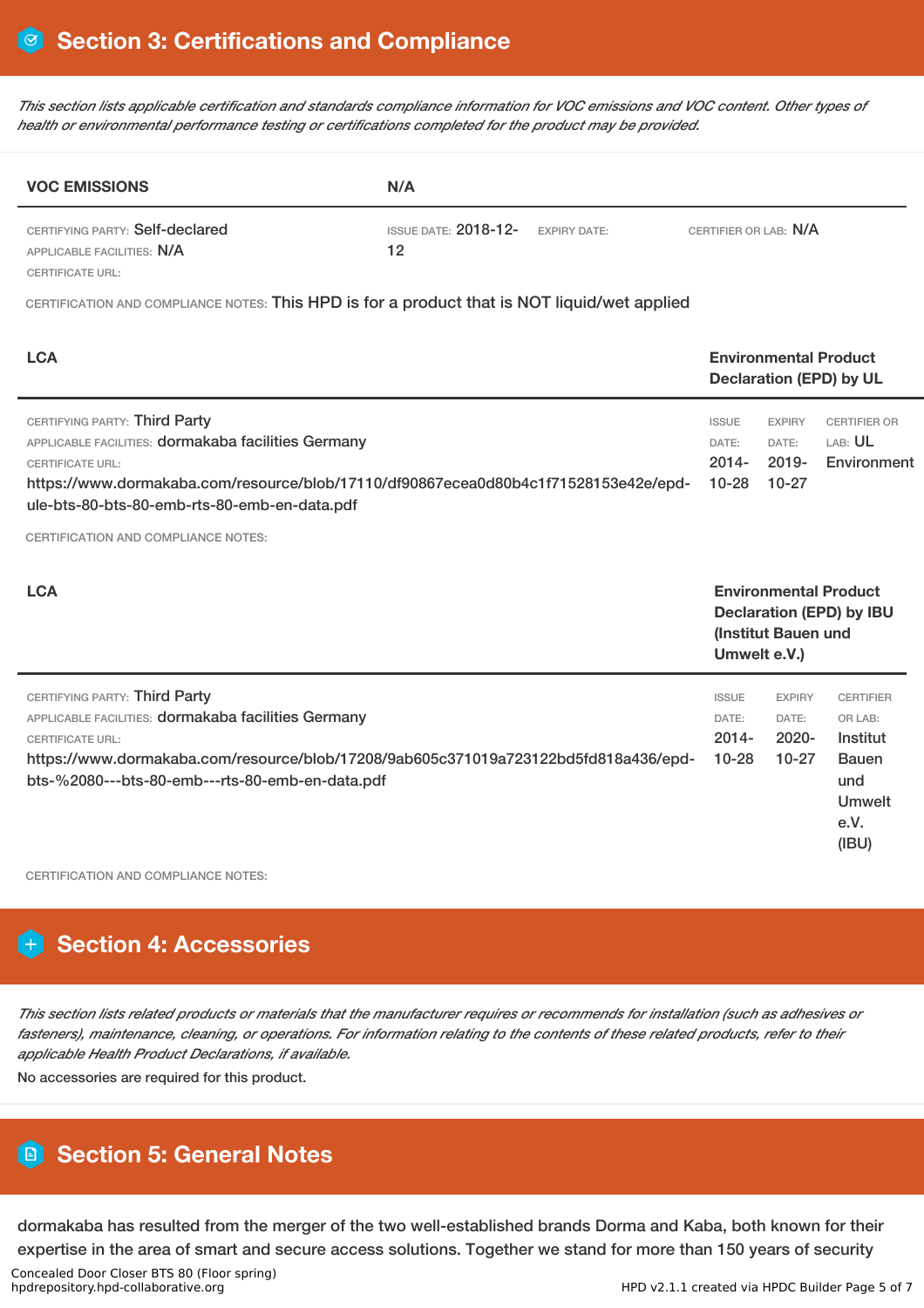This section lists applicable certification and standards compliance information for VOC emissions and VOC content. Other types of *health or environmental performance testing or certifications completed for the product may be provided.*

| <b>VOC EMISSIONS</b>                                          | N/A                           |                     |                       |  |  |
|---------------------------------------------------------------|-------------------------------|---------------------|-----------------------|--|--|
| CERTIFYING PARTY: Self-declared<br>APPLICABLE FACILITIES: N/A | ISSUE DATE: $2018 - 12$<br>12 | <b>EXPIRY DATE:</b> | CERTIFIER OR LAB: N/A |  |  |
| <b>CERTIFICATE URL:</b>                                       |                               |                     |                       |  |  |

CERTIFICATION AND COMPLIANCE NOTES: This HPD is for a product that is NOT liquid/wet applied

| <b>LCA</b>                                                                                                                                                                                                                                                |                                                                                                        | <b>Environmental Product</b><br><b>Declaration (EPD) by UL</b> |                                                                                                  |  |
|-----------------------------------------------------------------------------------------------------------------------------------------------------------------------------------------------------------------------------------------------------------|--------------------------------------------------------------------------------------------------------|----------------------------------------------------------------|--------------------------------------------------------------------------------------------------|--|
| CERTIFYING PARTY: Third Party<br>APPLICABLE FACILITIES: dormakaba facilities Germany<br><b>CERTIFICATE URL:</b><br>https://www.dormakaba.com/resource/blob/17110/df90867ecea0d80b4c1f71528153e42e/epd-<br>ule-bts-80-bts-80-emb-rts-80-emb-en-data.pdf    | <b>ISSUE</b><br>DATE:<br>$2014 -$<br>$10 - 28$                                                         | <b>EXPIRY</b><br>DATE:<br>$2019 -$<br>$10-27$                  | <b>CERTIFIER OR</b><br>LAB: UL<br>Environment                                                    |  |
| <b>CERTIFICATION AND COMPLIANCE NOTES:</b><br><b>LCA</b>                                                                                                                                                                                                  | <b>Environmental Product</b><br><b>Declaration (EPD) by IBU</b><br>(Institut Bauen und<br>Umwelt e.V.) |                                                                |                                                                                                  |  |
| CERTIFYING PARTY: Third Party<br>APPLICABLE FACILITIES: dormakaba facilities Germany<br><b>CERTIFICATE URL:</b><br>https://www.dormakaba.com/resource/blob/17208/9ab605c371019a723122bd5fd818a436/epd-<br>bts-%2080---bts-80-emb---rts-80-emb-en-data.pdf | <b>ISSUE</b><br>DATE:<br>$2014 -$<br>$10 - 28$                                                         | <b>EXPIRY</b><br>DATE:<br>$2020 -$<br>$10-27$                  | <b>CERTIFIER</b><br>OR LAB:<br>Institut<br><b>Bauen</b><br>und<br><b>Umwelt</b><br>e.V.<br>(IBU) |  |

CERTIFICATION AND COMPLIANCE NOTES:

# **Section 4: Accessories**

This section lists related products or materials that the manufacturer requires or recommends for installation (such as adhesives or fasteners), maintenance, cleaning, or operations. For information relating to the contents of these related products, refer to their *applicable Health Product Declarations, if available.*

No accessories are required for this product.

# **Section 5: General Notes**

dormakaba has resulted from the merger of the two well-established brands Dorma and Kaba, both known for their expertise in the area of smart and secure access solutions. Together we stand for more than 150 years of security

Concealed Door Closer BTS 80 (Floor spring)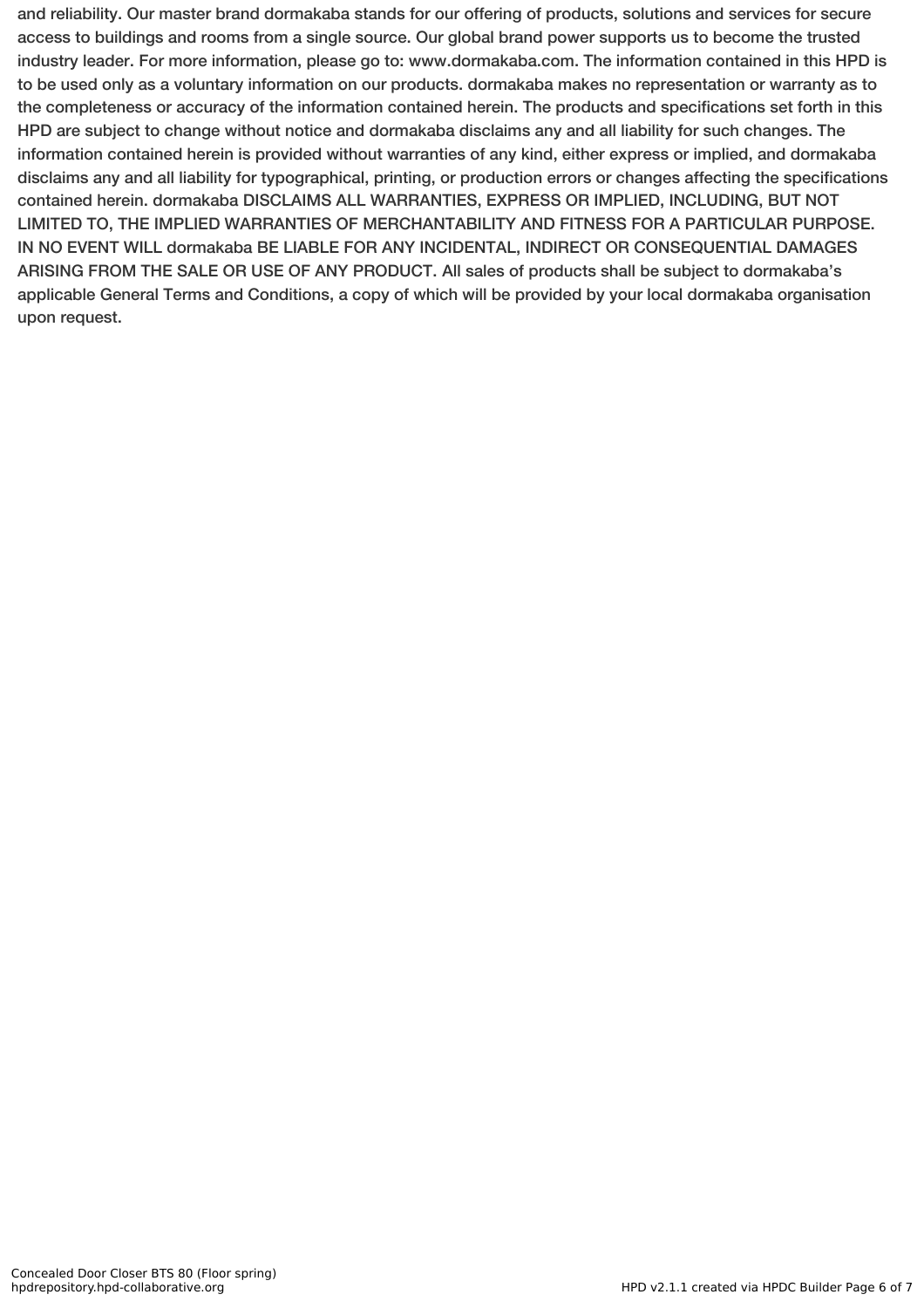and reliability. Our master brand dormakaba stands for our offering of products, solutions and services for secure access to buildings and rooms from a single source. Our global brand power supports us to become the trusted industry leader. For more information, please go to: www.dormakaba.com. The information contained in this HPD is to be used only as a voluntary information on our products. dormakaba makes no representation or warranty as to the completeness or accuracy of the information contained herein. The products and specifications set forth in this HPD are subject to change without notice and dormakaba disclaims any and all liability for such changes. The information contained herein is provided without warranties of any kind, either express or implied, and dormakaba disclaims any and all liability for typographical, printing, or production errors or changes affecting the specifications contained herein. dormakaba DISCLAIMS ALL WARRANTIES, EXPRESS OR IMPLIED, INCLUDING, BUT NOT LIMITED TO, THE IMPLIED WARRANTIES OF MERCHANTABILITY AND FITNESS FOR A PARTICULAR PURPOSE. IN NO EVENT WILL dormakaba BE LIABLE FOR ANY INCIDENTAL, INDIRECT OR CONSEQUENTIAL DAMAGES ARISING FROM THE SALE OR USE OF ANY PRODUCT. All sales of products shall be subject to dormakaba's applicable General Terms and Conditions, a copy of which will be provided by your local dormakaba organisation upon request.